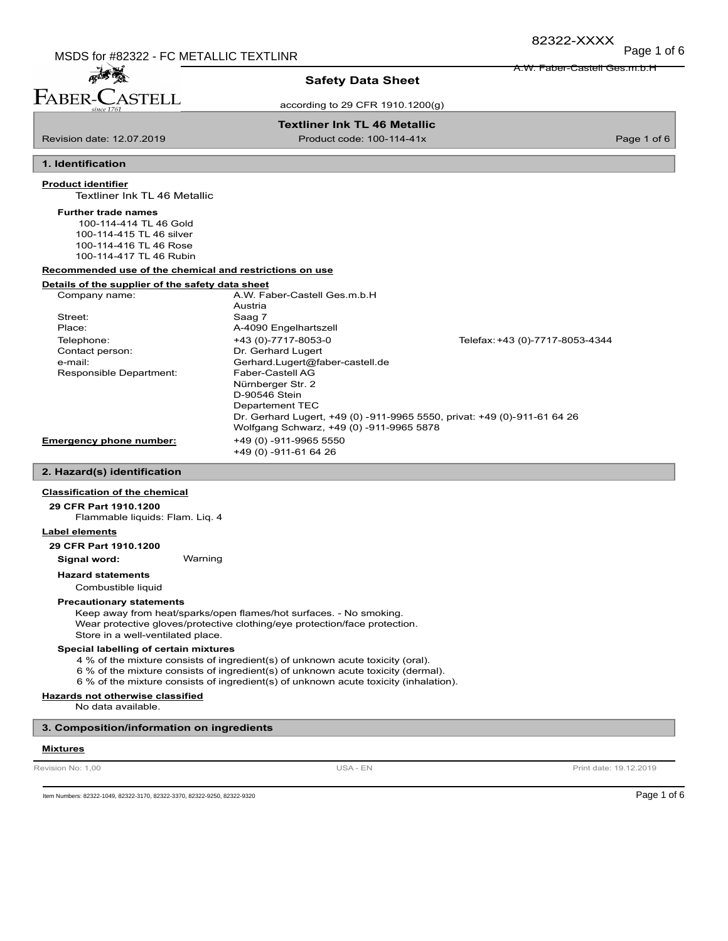A.W. Faber-Castell Ges.m.b.H

# 孟子 FABER-C **STELL**

# **Safety Data Sheet**

according to 29 CFR 1910.1200(g)

# **Textliner Ink TL 46 Metallic**

Revision date: 12.07.2019 **Product code: 100-114-41x** Product code: 100-114-41x Page 1 of 6

# **1. Identification**

## **Product identifier**

Textliner Ink TL 46 Metallic

#### **Further trade names**

 100-114-414 TL 46 Gold 100-114-415 TL 46 silver 100-114-416 TL 46 Rose 100-114-417 TL 46 Rubin

**Recommended use of the chemical and restrictions on use**

## **Details of the supplier of the safety data sheet**

| Company name:                  | A.W. Faber-Castell Ges.m.b.H.            |                                                                          |
|--------------------------------|------------------------------------------|--------------------------------------------------------------------------|
|                                | Austria                                  |                                                                          |
| Street:                        | Saag 7                                   |                                                                          |
| Place:                         | A-4090 Engelhartszell                    |                                                                          |
| Telephone:                     | +43 (0)-7717-8053-0                      | Telefax: +43 (0)-7717-8053-4344                                          |
| Contact person:                | Dr. Gerhard Lugert                       |                                                                          |
| e-mail:                        | Gerhard.Lugert@faber-castell.de          |                                                                          |
| Responsible Department:        | Faber-Castell AG                         |                                                                          |
|                                | Nürnberger Str. 2                        |                                                                          |
|                                | D-90546 Stein                            |                                                                          |
|                                | Departement TEC                          |                                                                          |
|                                |                                          | Dr. Gerhard Lugert, +49 (0) -911-9965 5550, privat: +49 (0)-911-61 64 26 |
|                                | Wolfgang Schwarz, +49 (0) -911-9965 5878 |                                                                          |
| <b>Emergency phone number:</b> | +49 (0) -911-9965 5550                   |                                                                          |
|                                | +49 (0) -911-61 64 26                    |                                                                          |

## **2. Hazard(s) identification**

#### **Classification of the chemical**

**29 CFR Part 1910.1200**

Flammable liquids: Flam. Liq. 4

#### **Label elements**

**29 CFR Part 1910.1200**

**Signal word:** Warning

**Hazard statements**

Combustible liquid

# **Precautionary statements**

Keep away from heat/sparks/open flames/hot surfaces. - No smoking. Wear protective gloves/protective clothing/eye protection/face protection. Store in a well-ventilated place.

## **Special labelling of certain mixtures**

4 % of the mixture consists of ingredient(s) of unknown acute toxicity (oral).

- 6 % of the mixture consists of ingredient(s) of unknown acute toxicity (dermal).
- 6 % of the mixture consists of ingredient(s) of unknown acute toxicity (inhalation).

# **Hazards not otherwise classified**

No data available.

# **3. Composition/information on ingredients**

#### **Mixtures**

Revision No: 1,00 **Print date: 19.12.2019** USA - EN USA - EN Print date: 19.12.2019

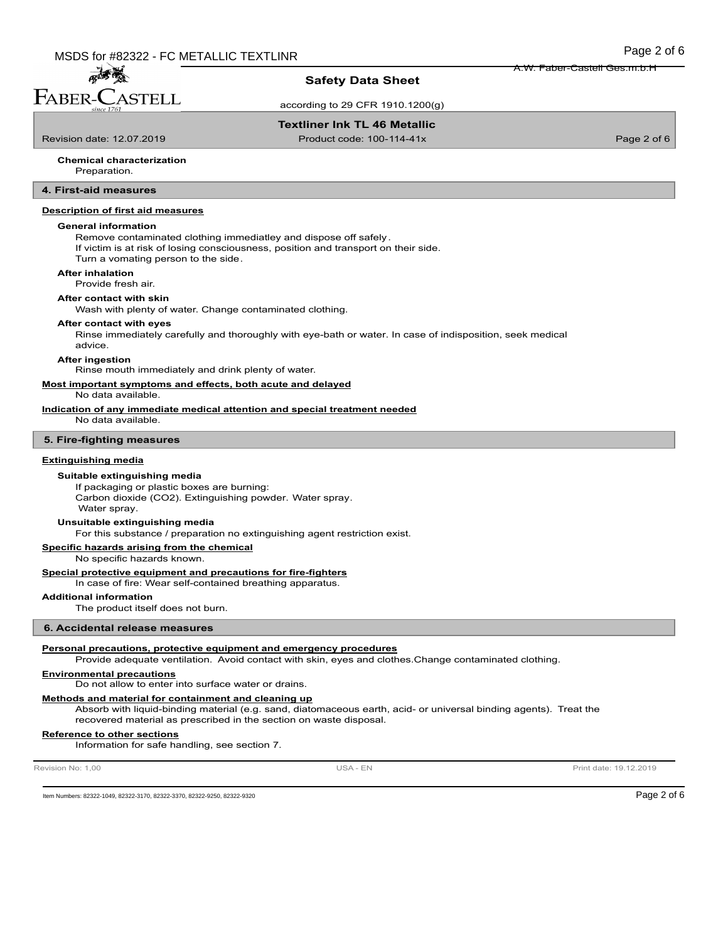孟秀美 FABER-C **ASTELL** 

# **Safety Data Sheet**

according to 29 CFR 1910.1200(g)

# **Textliner Ink TL 46 Metallic**

Revision date: 12.07.2019 **Product code: 100-114-41x** Product code: 100-114-41x Page 2 of 6

A.W. Faber-Castell Ges.m.b.H

#### Preparation. **Chemical characterization**

**4. First-aid measures**

# **Description of first aid measures**

## **General information**

Remove contaminated clothing immediatley and dispose off safely.

If victim is at risk of losing consciousness, position and transport on their side. Turn a vomating person to the side.

#### **After inhalation**

Provide fresh air.

#### **After contact with skin**

Wash with plenty of water. Change contaminated clothing.

#### **After contact with eyes**

Rinse immediately carefully and thoroughly with eye-bath or water. In case of indisposition, seek medical advice.

#### **After ingestion**

Rinse mouth immediately and drink plenty of water.

# **Most important symptoms and effects, both acute and delayed**

No data available.

## **Indication of any immediate medical attention and special treatment needed**

No data available.

## **5. Fire-fighting measures**

#### **Extinguishing media**

#### **Suitable extinguishing media**

If packaging or plastic boxes are burning: Carbon dioxide (CO2). Extinguishing powder. Water spray. Water spray.

#### **Unsuitable extinguishing media**

For this substance / preparation no extinguishing agent restriction exist.

**Specific hazards arising from the chemical**

No specific hazards known.

# **Special protective equipment and precautions for fire-fighters**

In case of fire: Wear self-contained breathing apparatus.

## **Additional information**

The product itself does not burn.

## **6. Accidental release measures**

#### **Personal precautions, protective equipment and emergency procedures**

Provide adequate ventilation. Avoid contact with skin, eyes and clothes.Change contaminated clothing.

#### **Environmental precautions**

Do not allow to enter into surface water or drains.

# **Methods and material for containment and cleaning up**

Absorb with liquid-binding material (e.g. sand, diatomaceous earth, acid- or universal binding agents). Treat the recovered material as prescribed in the section on waste disposal.

### **Reference to other sections**

Information for safe handling, see section 7.

Revision No: 1,00 **Print date: 19.12.2019** USA - EN USA - EN Print date: 19.12.2019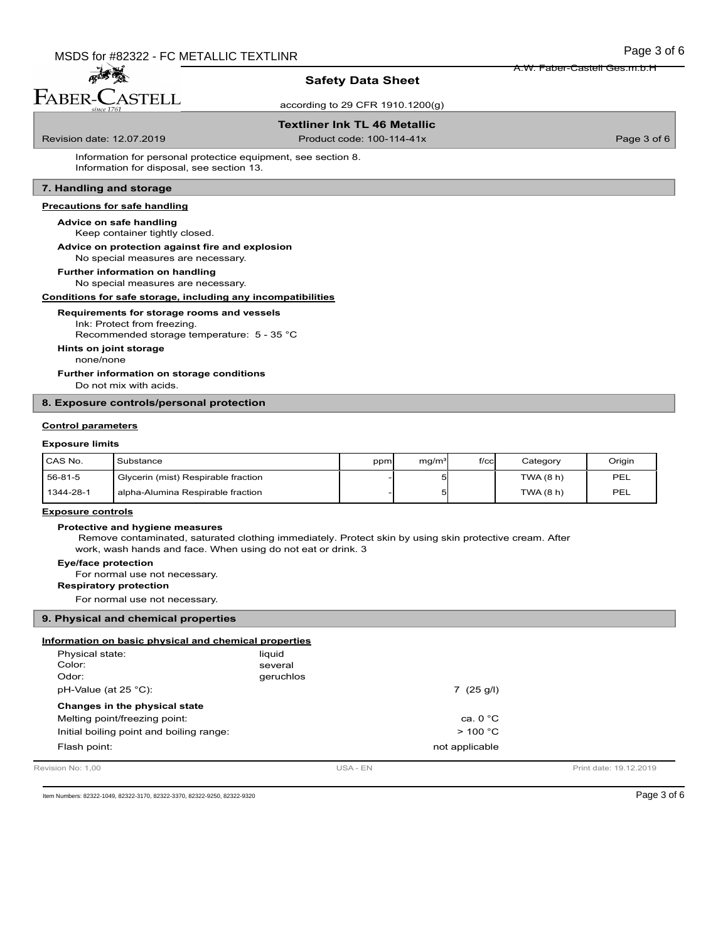孟子蒂 FABER-CASTELL

# **Safety Data Sheet**

according to 29 CFR 1910.1200(g)

# **Textliner Ink TL 46 Metallic**

Revision date: 12.07.2019 **Product code: 100-114-41x** Product code: 100-114-41x Page 3 of 6

A.W. Faber-Castell Ges.m.b.H

Information for personal protectice equipment, see section 8. Information for disposal, see section 13.

# **7. Handling and storage**

## **Precautions for safe handling**

# **Advice on safe handling**

Keep container tightly closed.

# **Advice on protection against fire and explosion**

No special measures are necessary.

No special measures are necessary. **Further information on handling**

# **Conditions for safe storage, including any incompatibilities**

**Requirements for storage rooms and vessels**

# Ink: Protect from freezing.

Recommended storage temperature: 5 - 35 °C

## **Hints on joint storage**

none/none

Do not mix with acids. **Further information on storage conditions**

## **8. Exposure controls/personal protection**

#### **Control parameters**

## **Exposure limits**

| I CAS No. | Substance                           | ppm | mg/m <sup>3</sup> | $f$ / $c$ c $\vert$ | Category  | Origin |
|-----------|-------------------------------------|-----|-------------------|---------------------|-----------|--------|
| 56-81-5   | Glycerin (mist) Respirable fraction |     |                   |                     | TWA (8 h) | PEL    |
| 1344-28-1 | alpha-Alumina Respirable fraction   |     |                   |                     | TWA(8 h)  | PEL    |

## **Exposure controls**

#### **Protective and hygiene measures**

 Remove contaminated, saturated clothing immediately. Protect skin by using skin protective cream. After work, wash hands and face. When using do not eat or drink. 3

## **Eye/face protection**

For normal use not necessary.

# **Respiratory protection**

For normal use not necessary.

### **9. Physical and chemical properties**

| Information on basic physical and chemical properties |           |          |                   |                        |
|-------------------------------------------------------|-----------|----------|-------------------|------------------------|
| Physical state:                                       | liquid    |          |                   |                        |
| Color:                                                | several   |          |                   |                        |
| Odor:                                                 | geruchlos |          |                   |                        |
| $pH-Value$ (at 25 °C):                                |           |          | 7(25 g/l)         |                        |
| Changes in the physical state                         |           |          |                   |                        |
| Melting point/freezing point:                         |           |          | ca. $0^{\circ}$ C |                        |
| Initial boiling point and boiling range:              |           |          | > 100 °C          |                        |
| Flash point:                                          |           |          | not applicable    |                        |
| Revision No: 1.00                                     |           | USA - EN |                   | Print date: 19.12.2019 |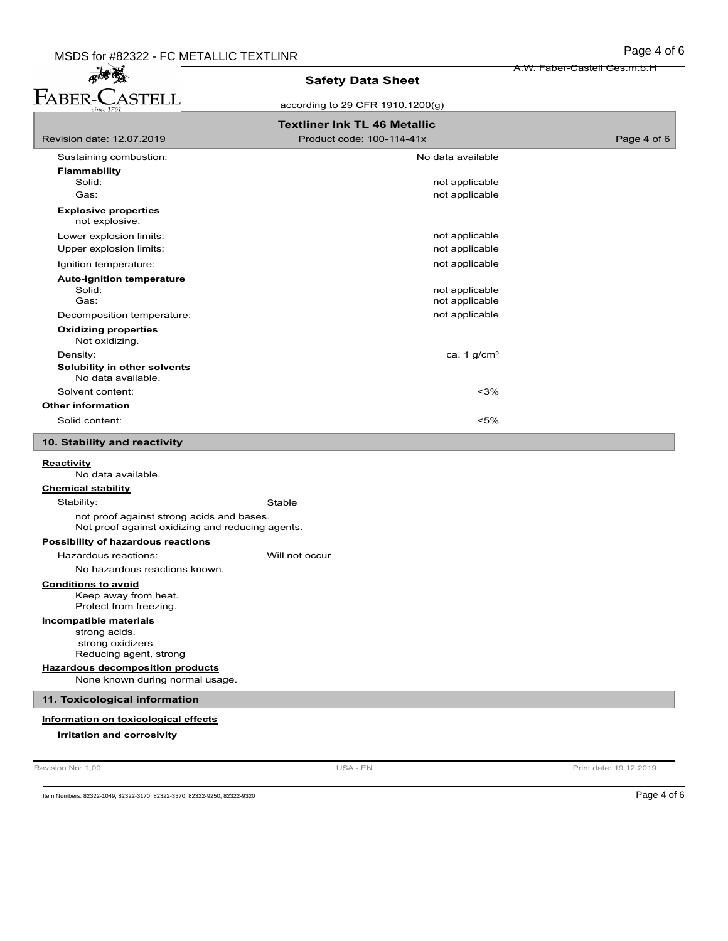A.W. Faber-Castell Ges.m.b.H

# 高雪 **Safety Data Sheet** FABER-CASTELL according to 29 CFR 1910.1200(g) **Textliner Ink TL 46 Metallic** Revision date: 12.07.2019 **Product code: 100-114-41x** Product code: 100-114-41x Page 4 of 6 Sustaining combustion: No data available with the state of the state of the state of the state of the state of the state of the state of the state of the state of the state of the state of the state of the state of the sta **Flammability** not applicable Gas: **not applicable** contains the container of the container of the container of the container of the container of the container of the containing of the containing of the containing of the containing of the containing of **Explosive properties** not explosive. Lower explosion limits:  $\qquad \qquad \qquad$  not applicable Upper explosion limits:  $\blacksquare$ Ignition temperature:  $\blacksquare$ **Auto-ignition temperature** Solid: not applicable not applicable Decomposition temperature: not applicable **Oxidizing properties** Not oxidizing. Density:  $\cos \theta = \cos \theta$  and  $\cos \theta = \cos \theta$  and  $\sin \theta = \cos \theta$  and  $\sin \theta = \cos \theta$  and  $\sin \theta = \cos \theta$  and  $\sin \theta = \cos \theta$  and  $\sin \theta = \cos \theta$  and  $\sin \theta = \cos \theta$  and  $\sin \theta = \sin \theta$  and  $\sin \theta = \sin \theta$  and  $\sin \theta = \sin \theta$  and  $\sin \theta = \sin \theta$  and  $\sin \theta = \sin \theta$  and  $\sin \theta$ **Solubility in other solvents** No data available. Solvent content:  $\leq$ 3% **Other information** Solid content: <5% **10. Stability and reactivity Reactivity** No data available. **Chemical stability** Stability: Stable not proof against strong acids and bases. Not proof against oxidizing and reducing agents. **Possibility of hazardous reactions** Hazardous reactions: Will not occur No hazardous reactions known. **Conditions to avoid** Keep away from heat. Protect from freezing. **Incompatible materials** strong acids. strong oxidizers Reducing agent, strong **Hazardous decomposition products** None known during normal usage. **11. Toxicological information Information on toxicological effects Irritation and corrosivity**

Revision No: 1,00 **Print date: 19.12.2019** USA - EN USA - EN Print date: 19.12.2019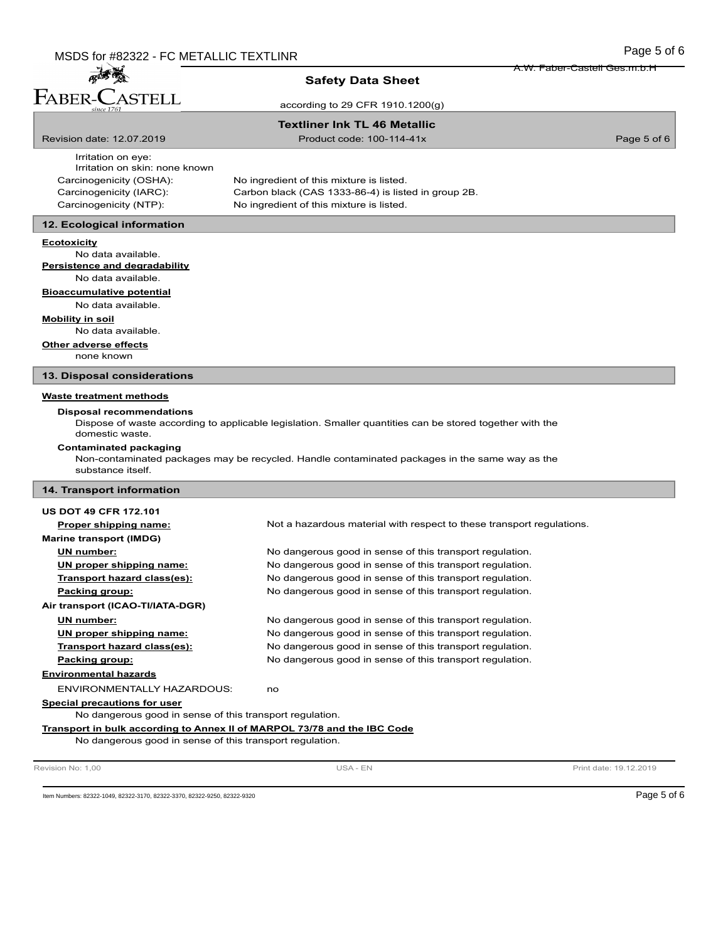麻疹菌 FABER-CASTELL

# **Safety Data Sheet**

according to 29 CFR 1910.1200(g)

# **Textliner Ink TL 46 Metallic**

Revision date: 12.07.2019 **Product code: 100-114-41x** Product code: 100-114-41x Page 5 of 6

A.W. Faber-Castell Ges.m.b.H

Irritation on eye: Irritation on skin: none known Carcinogenicity (OSHA): No ingredient of this mixture is listed.

Carcinogenicity (IARC): Carbon black (CAS 1333-86-4) is listed in group 2B. Carcinogenicity (NTP): No ingredient of this mixture is listed.

# **12. Ecological information**

#### **Ecotoxicity**

No data available. **Persistence and degradability**

No data available.

## **Bioaccumulative potential**

No data available.

#### **Mobility in soil**

No data available.

### **Other adverse effects**

none known

## **13. Disposal considerations**

# **Waste treatment methods**

#### **Disposal recommendations**

Dispose of waste according to applicable legislation. Smaller quantities can be stored together with the domestic waste.

#### **Contaminated packaging**

Non-contaminated packages may be recycled. Handle contaminated packages in the same way as the substance itself.

# **14. Transport information**

| <b>US DOT 49 CFR 172.101</b>                                             |                                                                       |  |
|--------------------------------------------------------------------------|-----------------------------------------------------------------------|--|
| Proper shipping name:                                                    | Not a hazardous material with respect to these transport regulations. |  |
| Marine transport (IMDG)                                                  |                                                                       |  |
| UN number:                                                               | No dangerous good in sense of this transport regulation.              |  |
| UN proper shipping name:                                                 | No dangerous good in sense of this transport regulation.              |  |
| Transport hazard class(es):                                              | No dangerous good in sense of this transport regulation.              |  |
| Packing group:                                                           | No dangerous good in sense of this transport regulation.              |  |
| Air transport (ICAO-TI/IATA-DGR)                                         |                                                                       |  |
| UN number:                                                               | No dangerous good in sense of this transport regulation.              |  |
| UN proper shipping name:                                                 | No dangerous good in sense of this transport regulation.              |  |
| Transport hazard class(es):                                              | No dangerous good in sense of this transport regulation.              |  |
| Packing group:                                                           | No dangerous good in sense of this transport regulation.              |  |
| <b>Environmental hazards</b>                                             |                                                                       |  |
| ENVIRONMENTALLY HAZARDOUS:                                               | no                                                                    |  |
| Special precautions for user                                             |                                                                       |  |
| No dangerous good in sense of this transport regulation.                 |                                                                       |  |
| Transport in bulk according to Annex II of MARPOL 73/78 and the IBC Code |                                                                       |  |
| No dangerous good in sense of this transport regulation.                 |                                                                       |  |
|                                                                          |                                                                       |  |

Revision No: 1,00 **Print date: 19.12.2019** USA - EN USA - EN Print date: 19.12.2019